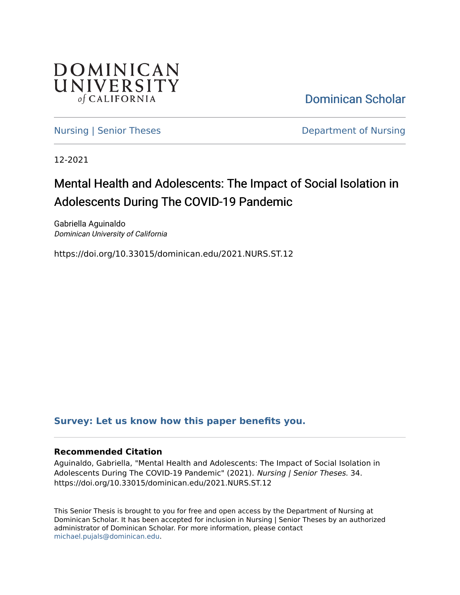

[Dominican Scholar](https://scholar.dominican.edu/) 

[Nursing | Senior Theses](https://scholar.dominican.edu/nursing-senior-theses) **Department of Nursing** 

12-2021

# Mental Health and Adolescents: The Impact of Social Isolation in Adolescents During The COVID-19 Pandemic

Gabriella Aguinaldo Dominican University of California

https://doi.org/10.33015/dominican.edu/2021.NURS.ST.12

## **[Survey: Let us know how this paper benefits you.](https://dominican.libwizard.com/dominican-scholar-feedback)**

#### **Recommended Citation**

Aguinaldo, Gabriella, "Mental Health and Adolescents: The Impact of Social Isolation in Adolescents During The COVID-19 Pandemic" (2021). Nursing | Senior Theses. 34. https://doi.org/10.33015/dominican.edu/2021.NURS.ST.12

This Senior Thesis is brought to you for free and open access by the Department of Nursing at Dominican Scholar. It has been accepted for inclusion in Nursing | Senior Theses by an authorized administrator of Dominican Scholar. For more information, please contact [michael.pujals@dominican.edu.](mailto:michael.pujals@dominican.edu)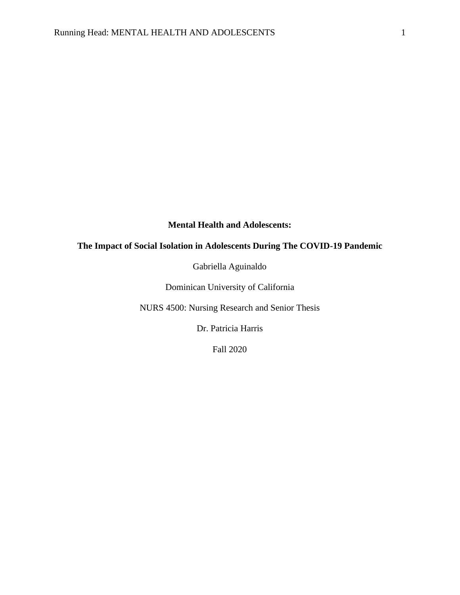## **Mental Health and Adolescents:**

## **The Impact of Social Isolation in Adolescents During The COVID-19 Pandemic**

Gabriella Aguinaldo

Dominican University of California

NURS 4500: Nursing Research and Senior Thesis

Dr. Patricia Harris

Fall 2020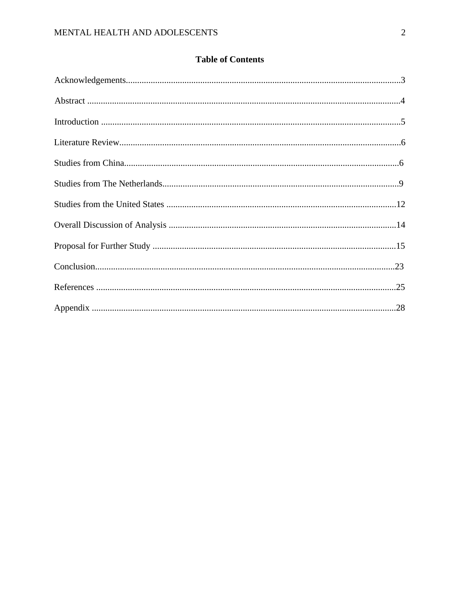## **Table of Contents**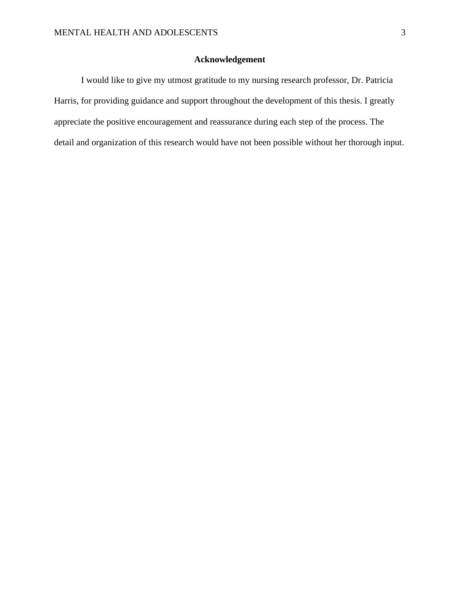## **Acknowledgement**

I would like to give my utmost gratitude to my nursing research professor, Dr. Patricia Harris, for providing guidance and support throughout the development of this thesis. I greatly appreciate the positive encouragement and reassurance during each step of the process. The detail and organization of this research would have not been possible without her thorough input.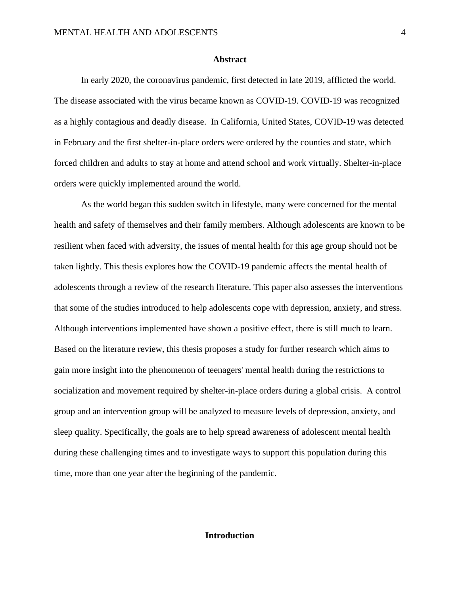#### **Abstract**

In early 2020, the coronavirus pandemic, first detected in late 2019, afflicted the world. The disease associated with the virus became known as COVID-19. COVID-19 was recognized as a highly contagious and deadly disease. In California, United States, COVID-19 was detected in February and the first shelter-in-place orders were ordered by the counties and state, which forced children and adults to stay at home and attend school and work virtually. Shelter-in-place orders were quickly implemented around the world.

As the world began this sudden switch in lifestyle, many were concerned for the mental health and safety of themselves and their family members. Although adolescents are known to be resilient when faced with adversity, the issues of mental health for this age group should not be taken lightly. This thesis explores how the COVID-19 pandemic affects the mental health of adolescents through a review of the research literature. This paper also assesses the interventions that some of the studies introduced to help adolescents cope with depression, anxiety, and stress. Although interventions implemented have shown a positive effect, there is still much to learn. Based on the literature review, this thesis proposes a study for further research which aims to gain more insight into the phenomenon of teenagers' mental health during the restrictions to socialization and movement required by shelter-in-place orders during a global crisis. A control group and an intervention group will be analyzed to measure levels of depression, anxiety, and sleep quality. Specifically, the goals are to help spread awareness of adolescent mental health during these challenging times and to investigate ways to support this population during this time, more than one year after the beginning of the pandemic.

#### **Introduction**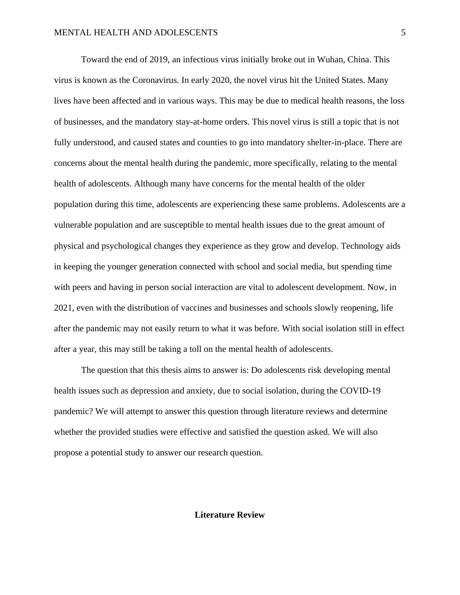Toward the end of 2019, an infectious virus initially broke out in Wuhan, China. This virus is known as the Coronavirus. In early 2020, the novel virus hit the United States. Many lives have been affected and in various ways. This may be due to medical health reasons, the loss of businesses, and the mandatory stay-at-home orders. This novel virus is still a topic that is not fully understood, and caused states and counties to go into mandatory shelter-in-place. There are concerns about the mental health during the pandemic, more specifically, relating to the mental health of adolescents. Although many have concerns for the mental health of the older population during this time, adolescents are experiencing these same problems. Adolescents are a vulnerable population and are susceptible to mental health issues due to the great amount of physical and psychological changes they experience as they grow and develop. Technology aids in keeping the younger generation connected with school and social media, but spending time with peers and having in person social interaction are vital to adolescent development. Now, in 2021, even with the distribution of vaccines and businesses and schools slowly reopening, life after the pandemic may not easily return to what it was before. With social isolation still in effect after a year, this may still be taking a toll on the mental health of adolescents.

The question that this thesis aims to answer is: Do adolescents risk developing mental health issues such as depression and anxiety, due to social isolation, during the COVID-19 pandemic? We will attempt to answer this question through literature reviews and determine whether the provided studies were effective and satisfied the question asked. We will also propose a potential study to answer our research question.

#### **Literature Review**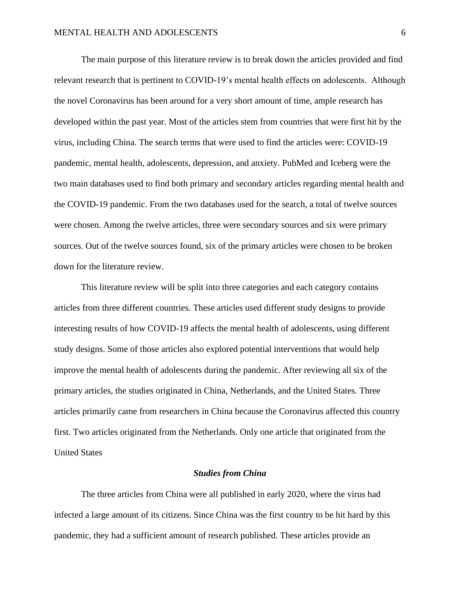The main purpose of this literature review is to break down the articles provided and find relevant research that is pertinent to COVID-19's mental health effects on adolescents. Although the novel Coronavirus has been around for a very short amount of time, ample research has developed within the past year. Most of the articles stem from countries that were first hit by the virus, including China. The search terms that were used to find the articles were: COVID-19 pandemic, mental health, adolescents, depression, and anxiety. PubMed and Iceberg were the two main databases used to find both primary and secondary articles regarding mental health and the COVID-19 pandemic. From the two databases used for the search, a total of twelve sources were chosen. Among the twelve articles, three were secondary sources and six were primary sources. Out of the twelve sources found, six of the primary articles were chosen to be broken down for the literature review.

This literature review will be split into three categories and each category contains articles from three different countries. These articles used different study designs to provide interesting results of how COVID-19 affects the mental health of adolescents, using different study designs. Some of those articles also explored potential interventions that would help improve the mental health of adolescents during the pandemic. After reviewing all six of the primary articles, the studies originated in China, Netherlands, and the United States. Three articles primarily came from researchers in China because the Coronavirus affected this country first. Two articles originated from the Netherlands. Only one article that originated from the United States

#### *Studies from China*

The three articles from China were all published in early 2020, where the virus had infected a large amount of its citizens. Since China was the first country to be hit hard by this pandemic, they had a sufficient amount of research published. These articles provide an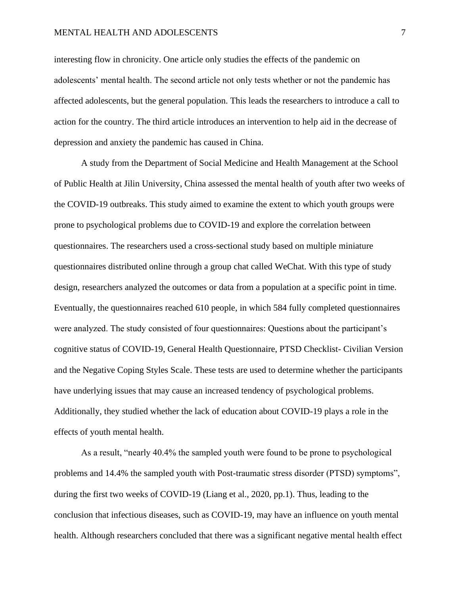#### MENTAL HEALTH AND ADOLESCENTS **7** 7

interesting flow in chronicity. One article only studies the effects of the pandemic on adolescents' mental health. The second article not only tests whether or not the pandemic has affected adolescents, but the general population. This leads the researchers to introduce a call to action for the country. The third article introduces an intervention to help aid in the decrease of depression and anxiety the pandemic has caused in China.

A study from the Department of Social Medicine and Health Management at the School of Public Health at Jilin University, China assessed the mental health of youth after two weeks of the COVID-19 outbreaks. This study aimed to examine the extent to which youth groups were prone to psychological problems due to COVID-19 and explore the correlation between questionnaires. The researchers used a cross-sectional study based on multiple miniature questionnaires distributed online through a group chat called WeChat. With this type of study design, researchers analyzed the outcomes or data from a population at a specific point in time. Eventually, the questionnaires reached 610 people, in which 584 fully completed questionnaires were analyzed. The study consisted of four questionnaires: Questions about the participant's cognitive status of COVID-19, General Health Questionnaire, PTSD Checklist- Civilian Version and the Negative Coping Styles Scale. These tests are used to determine whether the participants have underlying issues that may cause an increased tendency of psychological problems. Additionally, they studied whether the lack of education about COVID-19 plays a role in the effects of youth mental health.

As a result, "nearly 40.4% the sampled youth were found to be prone to psychological problems and 14.4% the sampled youth with Post-traumatic stress disorder (PTSD) symptoms", during the first two weeks of COVID-19 (Liang et al., 2020, pp.1). Thus, leading to the conclusion that infectious diseases, such as COVID-19, may have an influence on youth mental health. Although researchers concluded that there was a significant negative mental health effect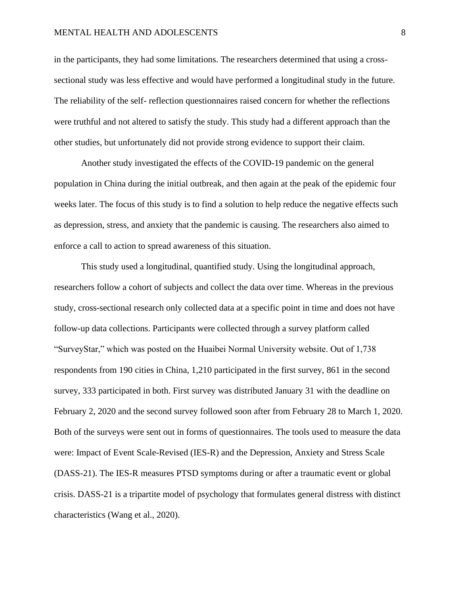#### MENTAL HEALTH AND ADOLESCENTS 8

in the participants, they had some limitations. The researchers determined that using a crosssectional study was less effective and would have performed a longitudinal study in the future. The reliability of the self- reflection questionnaires raised concern for whether the reflections were truthful and not altered to satisfy the study. This study had a different approach than the other studies, but unfortunately did not provide strong evidence to support their claim.

Another study investigated the effects of the COVID-19 pandemic on the general population in China during the initial outbreak, and then again at the peak of the epidemic four weeks later. The focus of this study is to find a solution to help reduce the negative effects such as depression, stress, and anxiety that the pandemic is causing. The researchers also aimed to enforce a call to action to spread awareness of this situation.

This study used a longitudinal, quantified study. Using the longitudinal approach, researchers follow a cohort of subjects and collect the data over time. Whereas in the previous study, cross-sectional research only collected data at a specific point in time and does not have follow-up data collections. Participants were collected through a survey platform called "SurveyStar," which was posted on the Huaibei Normal University website. Out of 1,738 respondents from 190 cities in China, 1,210 participated in the first survey, 861 in the second survey, 333 participated in both. First survey was distributed January 31 with the deadline on February 2, 2020 and the second survey followed soon after from February 28 to March 1, 2020. Both of the surveys were sent out in forms of questionnaires. The tools used to measure the data were: Impact of Event Scale-Revised (IES-R) and the Depression, Anxiety and Stress Scale (DASS-21). The IES-R measures PTSD symptoms during or after a traumatic event or global crisis. DASS-21 is a tripartite model of psychology that formulates general distress with distinct characteristics (Wang et al., 2020).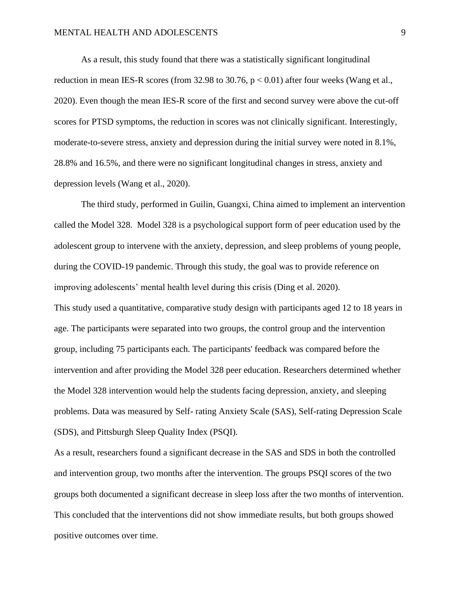As a result, this study found that there was a statistically significant longitudinal reduction in mean IES-R scores (from 32.98 to 30.76,  $p < 0.01$ ) after four weeks (Wang et al., 2020). Even though the mean IES-R score of the first and second survey were above the cut-off scores for PTSD symptoms, the reduction in scores was not clinically significant. Interestingly, moderate-to-severe stress, anxiety and depression during the initial survey were noted in 8.1%, 28.8% and 16.5%, and there were no significant longitudinal changes in stress, anxiety and depression levels (Wang et al., 2020).

The third study, performed in Guilin, Guangxi, China aimed to implement an intervention called the Model 328. Model 328 is a psychological support form of peer education used by the adolescent group to intervene with the anxiety, depression, and sleep problems of young people, during the COVID-19 pandemic. Through this study, the goal was to provide reference on improving adolescents' mental health level during this crisis (Ding et al. 2020). This study used a quantitative, comparative study design with participants aged 12 to 18 years in age. The participants were separated into two groups, the control group and the intervention group, including 75 participants each. The participants' feedback was compared before the intervention and after providing the Model 328 peer education. Researchers determined whether the Model 328 intervention would help the students facing depression, anxiety, and sleeping problems. Data was measured by Self- rating Anxiety Scale (SAS), Self-rating Depression Scale (SDS), and Pittsburgh Sleep Quality Index (PSQI).

As a result, researchers found a significant decrease in the SAS and SDS in both the controlled and intervention group, two months after the intervention. The groups PSQI scores of the two groups both documented a significant decrease in sleep loss after the two months of intervention. This concluded that the interventions did not show immediate results, but both groups showed positive outcomes over time.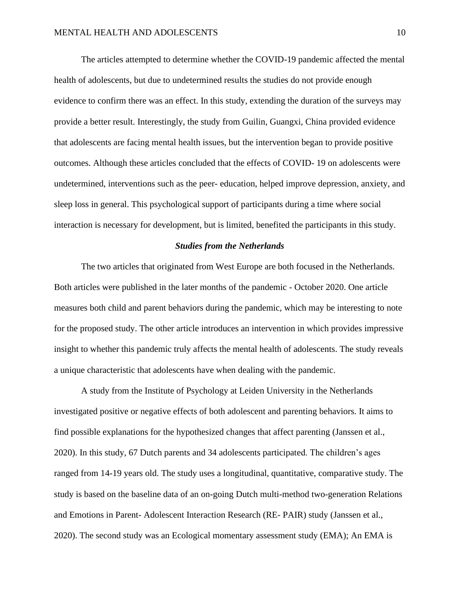The articles attempted to determine whether the COVID-19 pandemic affected the mental health of adolescents, but due to undetermined results the studies do not provide enough evidence to confirm there was an effect. In this study, extending the duration of the surveys may provide a better result. Interestingly, the study from Guilin, Guangxi, China provided evidence that adolescents are facing mental health issues, but the intervention began to provide positive outcomes. Although these articles concluded that the effects of COVID- 19 on adolescents were undetermined, interventions such as the peer- education, helped improve depression, anxiety, and sleep loss in general. This psychological support of participants during a time where social interaction is necessary for development, but is limited, benefited the participants in this study.

#### *Studies from the Netherlands*

The two articles that originated from West Europe are both focused in the Netherlands. Both articles were published in the later months of the pandemic - October 2020. One article measures both child and parent behaviors during the pandemic, which may be interesting to note for the proposed study. The other article introduces an intervention in which provides impressive insight to whether this pandemic truly affects the mental health of adolescents. The study reveals a unique characteristic that adolescents have when dealing with the pandemic.

A study from the Institute of Psychology at Leiden University in the Netherlands investigated positive or negative effects of both adolescent and parenting behaviors. It aims to find possible explanations for the hypothesized changes that affect parenting (Janssen et al., 2020). In this study, 67 Dutch parents and 34 adolescents participated. The children's ages ranged from 14-19 years old. The study uses a longitudinal, quantitative, comparative study. The study is based on the baseline data of an on-going Dutch multi-method two-generation Relations and Emotions in Parent- Adolescent Interaction Research (RE- PAIR) study (Janssen et al., 2020). The second study was an Ecological momentary assessment study (EMA); An EMA is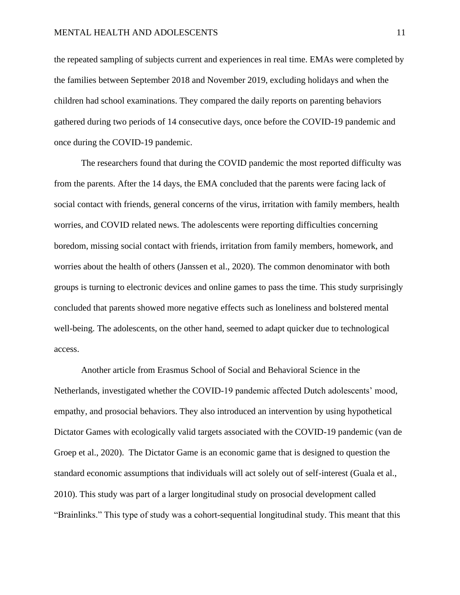the repeated sampling of subjects current and experiences in real time. EMAs were completed by the families between September 2018 and November 2019, excluding holidays and when the children had school examinations. They compared the daily reports on parenting behaviors gathered during two periods of 14 consecutive days, once before the COVID-19 pandemic and once during the COVID-19 pandemic.

The researchers found that during the COVID pandemic the most reported difficulty was from the parents. After the 14 days, the EMA concluded that the parents were facing lack of social contact with friends, general concerns of the virus, irritation with family members, health worries, and COVID related news. The adolescents were reporting difficulties concerning boredom, missing social contact with friends, irritation from family members, homework, and worries about the health of others (Janssen et al., 2020). The common denominator with both groups is turning to electronic devices and online games to pass the time. This study surprisingly concluded that parents showed more negative effects such as loneliness and bolstered mental well-being. The adolescents, on the other hand, seemed to adapt quicker due to technological access.

Another article from Erasmus School of Social and Behavioral Science in the Netherlands, investigated whether the COVID-19 pandemic affected Dutch adolescents' mood, empathy, and prosocial behaviors. They also introduced an intervention by using hypothetical Dictator Games with ecologically valid targets associated with the COVID-19 pandemic (van de Groep et al., 2020). The Dictator Game is an economic game that is designed to question the standard economic assumptions that individuals will act solely out of self-interest (Guala et al., 2010). This study was part of a larger longitudinal study on prosocial development called "Brainlinks." This type of study was a cohort-sequential longitudinal study. This meant that this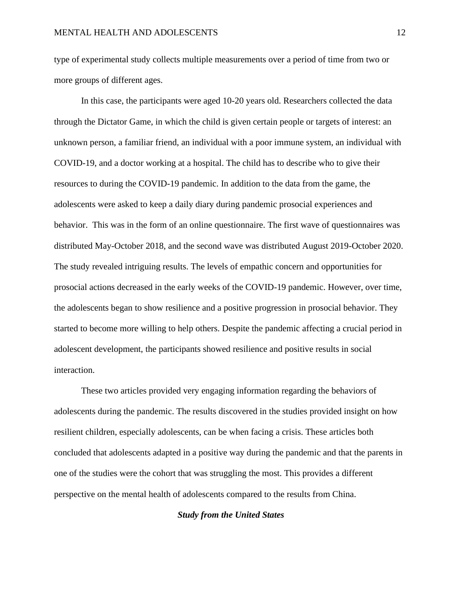type of experimental study collects multiple measurements over a period of time from two or more groups of different ages.

In this case, the participants were aged 10-20 years old. Researchers collected the data through the Dictator Game, in which the child is given certain people or targets of interest: an unknown person, a familiar friend, an individual with a poor immune system, an individual with COVID-19, and a doctor working at a hospital. The child has to describe who to give their resources to during the COVID-19 pandemic. In addition to the data from the game, the adolescents were asked to keep a daily diary during pandemic prosocial experiences and behavior. This was in the form of an online questionnaire. The first wave of questionnaires was distributed May-October 2018, and the second wave was distributed August 2019-October 2020. The study revealed intriguing results. The levels of empathic concern and opportunities for prosocial actions decreased in the early weeks of the COVID-19 pandemic. However, over time, the adolescents began to show resilience and a positive progression in prosocial behavior. They started to become more willing to help others. Despite the pandemic affecting a crucial period in adolescent development, the participants showed resilience and positive results in social interaction.

These two articles provided very engaging information regarding the behaviors of adolescents during the pandemic. The results discovered in the studies provided insight on how resilient children, especially adolescents, can be when facing a crisis. These articles both concluded that adolescents adapted in a positive way during the pandemic and that the parents in one of the studies were the cohort that was struggling the most. This provides a different perspective on the mental health of adolescents compared to the results from China.

#### *Study from the United States*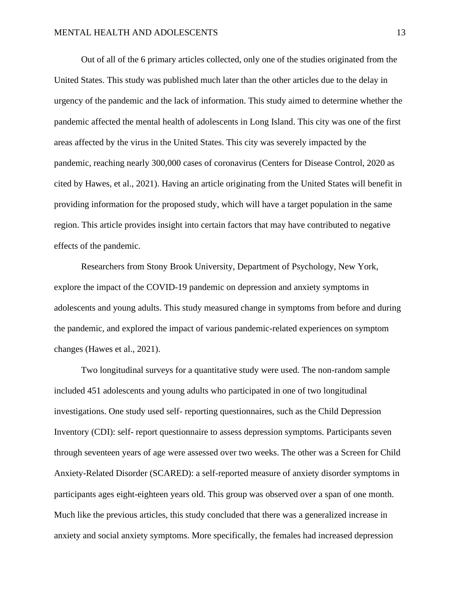Out of all of the 6 primary articles collected, only one of the studies originated from the United States. This study was published much later than the other articles due to the delay in urgency of the pandemic and the lack of information. This study aimed to determine whether the pandemic affected the mental health of adolescents in Long Island. This city was one of the first areas affected by the virus in the United States. This city was severely impacted by the pandemic, reaching nearly 300,000 cases of coronavirus (Centers for Disease Control, 2020 as cited by Hawes, et al., 2021). Having an article originating from the United States will benefit in providing information for the proposed study, which will have a target population in the same region. This article provides insight into certain factors that may have contributed to negative effects of the pandemic.

Researchers from Stony Brook University, Department of Psychology, New York, explore the impact of the COVID-19 pandemic on depression and anxiety symptoms in adolescents and young adults. This study measured change in symptoms from before and during the pandemic, and explored the impact of various pandemic-related experiences on symptom changes (Hawes et al., 2021).

Two longitudinal surveys for a quantitative study were used. The non-random sample included 451 adolescents and young adults who participated in one of two longitudinal investigations. One study used self- reporting questionnaires, such as the Child Depression Inventory (CDI): self- report questionnaire to assess depression symptoms. Participants seven through seventeen years of age were assessed over two weeks. The other was a Screen for Child Anxiety-Related Disorder (SCARED): a self-reported measure of anxiety disorder symptoms in participants ages eight-eighteen years old. This group was observed over a span of one month. Much like the previous articles, this study concluded that there was a generalized increase in anxiety and social anxiety symptoms. More specifically, the females had increased depression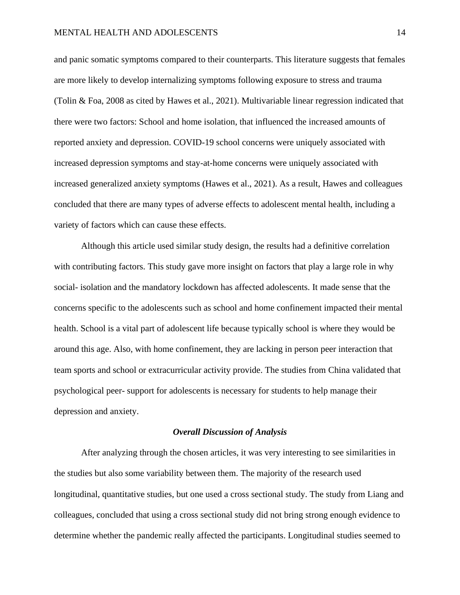and panic somatic symptoms compared to their counterparts. This literature suggests that females are more likely to develop internalizing symptoms following exposure to stress and trauma (Tolin & Foa, 2008 as cited by Hawes et al., 2021). Multivariable linear regression indicated that there were two factors: School and home isolation, that influenced the increased amounts of reported anxiety and depression. COVID-19 school concerns were uniquely associated with increased depression symptoms and stay-at-home concerns were uniquely associated with increased generalized anxiety symptoms (Hawes et al., 2021). As a result, Hawes and colleagues concluded that there are many types of adverse effects to adolescent mental health, including a variety of factors which can cause these effects.

Although this article used similar study design, the results had a definitive correlation with contributing factors. This study gave more insight on factors that play a large role in why social- isolation and the mandatory lockdown has affected adolescents. It made sense that the concerns specific to the adolescents such as school and home confinement impacted their mental health. School is a vital part of adolescent life because typically school is where they would be around this age. Also, with home confinement, they are lacking in person peer interaction that team sports and school or extracurricular activity provide. The studies from China validated that psychological peer- support for adolescents is necessary for students to help manage their depression and anxiety.

#### *Overall Discussion of Analysis*

After analyzing through the chosen articles, it was very interesting to see similarities in the studies but also some variability between them. The majority of the research used longitudinal, quantitative studies, but one used a cross sectional study. The study from Liang and colleagues, concluded that using a cross sectional study did not bring strong enough evidence to determine whether the pandemic really affected the participants. Longitudinal studies seemed to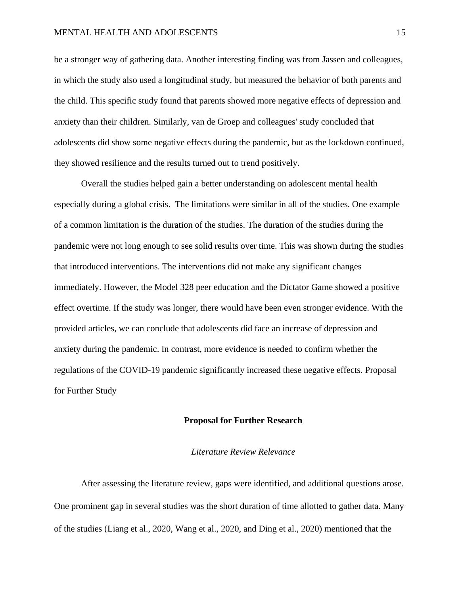#### MENTAL HEALTH AND ADOLESCENTS 15

be a stronger way of gathering data. Another interesting finding was from Jassen and colleagues, in which the study also used a longitudinal study, but measured the behavior of both parents and the child. This specific study found that parents showed more negative effects of depression and anxiety than their children. Similarly, van de Groep and colleagues' study concluded that adolescents did show some negative effects during the pandemic, but as the lockdown continued, they showed resilience and the results turned out to trend positively.

Overall the studies helped gain a better understanding on adolescent mental health especially during a global crisis. The limitations were similar in all of the studies. One example of a common limitation is the duration of the studies. The duration of the studies during the pandemic were not long enough to see solid results over time. This was shown during the studies that introduced interventions. The interventions did not make any significant changes immediately. However, the Model 328 peer education and the Dictator Game showed a positive effect overtime. If the study was longer, there would have been even stronger evidence. With the provided articles, we can conclude that adolescents did face an increase of depression and anxiety during the pandemic. In contrast, more evidence is needed to confirm whether the regulations of the COVID-19 pandemic significantly increased these negative effects. Proposal for Further Study

#### **Proposal for Further Research**

#### *Literature Review Relevance*

After assessing the literature review, gaps were identified, and additional questions arose. One prominent gap in several studies was the short duration of time allotted to gather data. Many of the studies (Liang et al., 2020, Wang et al., 2020, and Ding et al., 2020) mentioned that the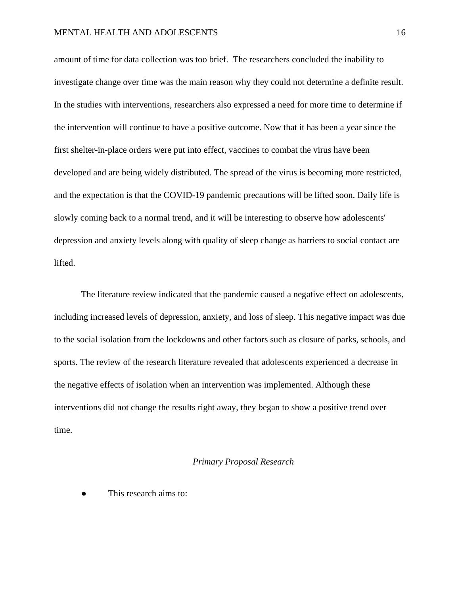amount of time for data collection was too brief. The researchers concluded the inability to investigate change over time was the main reason why they could not determine a definite result. In the studies with interventions, researchers also expressed a need for more time to determine if the intervention will continue to have a positive outcome. Now that it has been a year since the first shelter-in-place orders were put into effect, vaccines to combat the virus have been developed and are being widely distributed. The spread of the virus is becoming more restricted, and the expectation is that the COVID-19 pandemic precautions will be lifted soon. Daily life is slowly coming back to a normal trend, and it will be interesting to observe how adolescents' depression and anxiety levels along with quality of sleep change as barriers to social contact are lifted.

The literature review indicated that the pandemic caused a negative effect on adolescents, including increased levels of depression, anxiety, and loss of sleep. This negative impact was due to the social isolation from the lockdowns and other factors such as closure of parks, schools, and sports. The review of the research literature revealed that adolescents experienced a decrease in the negative effects of isolation when an intervention was implemented. Although these interventions did not change the results right away, they began to show a positive trend over time.

#### *Primary Proposal Research*

This research aims to: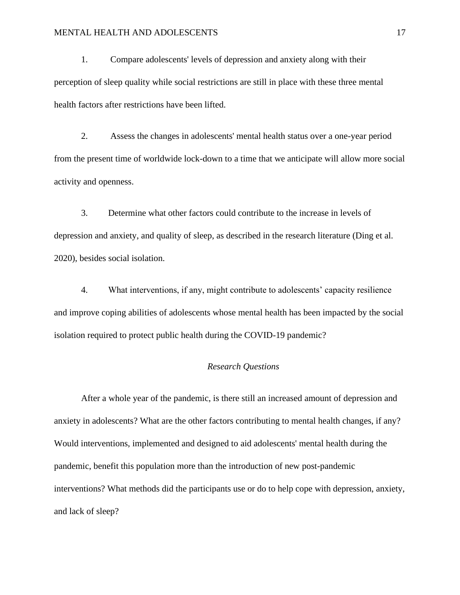#### MENTAL HEALTH AND ADOLESCENTS 17

1. Compare adolescents' levels of depression and anxiety along with their perception of sleep quality while social restrictions are still in place with these three mental health factors after restrictions have been lifted.

2. Assess the changes in adolescents' mental health status over a one-year period from the present time of worldwide lock-down to a time that we anticipate will allow more social activity and openness.

3. Determine what other factors could contribute to the increase in levels of depression and anxiety, and quality of sleep, as described in the research literature (Ding et al. 2020), besides social isolation.

4. What interventions, if any, might contribute to adolescents' capacity resilience and improve coping abilities of adolescents whose mental health has been impacted by the social isolation required to protect public health during the COVID-19 pandemic?

#### *Research Questions*

After a whole year of the pandemic, is there still an increased amount of depression and anxiety in adolescents? What are the other factors contributing to mental health changes, if any? Would interventions, implemented and designed to aid adolescents' mental health during the pandemic, benefit this population more than the introduction of new post-pandemic interventions? What methods did the participants use or do to help cope with depression, anxiety, and lack of sleep?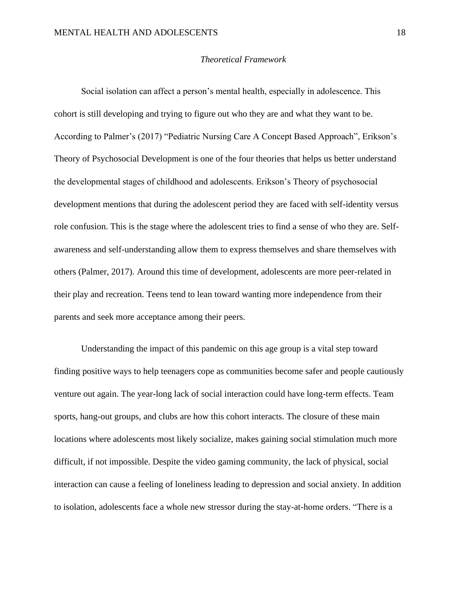#### *Theoretical Framework*

Social isolation can affect a person's mental health, especially in adolescence. This cohort is still developing and trying to figure out who they are and what they want to be. According to Palmer's (2017) "Pediatric Nursing Care A Concept Based Approach", Erikson's Theory of Psychosocial Development is one of the four theories that helps us better understand the developmental stages of childhood and adolescents. Erikson's Theory of psychosocial development mentions that during the adolescent period they are faced with self-identity versus role confusion. This is the stage where the adolescent tries to find a sense of who they are. Selfawareness and self-understanding allow them to express themselves and share themselves with others (Palmer, 2017). Around this time of development, adolescents are more peer-related in their play and recreation. Teens tend to lean toward wanting more independence from their parents and seek more acceptance among their peers.

Understanding the impact of this pandemic on this age group is a vital step toward finding positive ways to help teenagers cope as communities become safer and people cautiously venture out again. The year-long lack of social interaction could have long-term effects. Team sports, hang-out groups, and clubs are how this cohort interacts. The closure of these main locations where adolescents most likely socialize, makes gaining social stimulation much more difficult, if not impossible. Despite the video gaming community, the lack of physical, social interaction can cause a feeling of loneliness leading to depression and social anxiety. In addition to isolation, adolescents face a whole new stressor during the stay-at-home orders. "There is a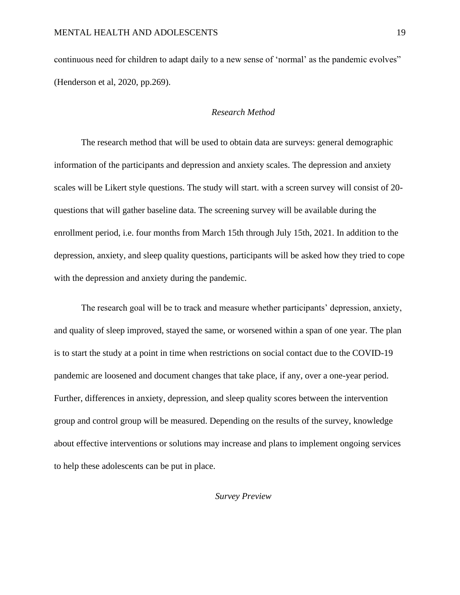continuous need for children to adapt daily to a new sense of 'normal' as the pandemic evolves" (Henderson et al, 2020, pp.269).

#### *Research Method*

The research method that will be used to obtain data are surveys: general demographic information of the participants and depression and anxiety scales. The depression and anxiety scales will be Likert style questions. The study will start. with a screen survey will consist of 20 questions that will gather baseline data. The screening survey will be available during the enrollment period, i.e. four months from March 15th through July 15th, 2021. In addition to the depression, anxiety, and sleep quality questions, participants will be asked how they tried to cope with the depression and anxiety during the pandemic.

The research goal will be to track and measure whether participants' depression, anxiety, and quality of sleep improved, stayed the same, or worsened within a span of one year. The plan is to start the study at a point in time when restrictions on social contact due to the COVID-19 pandemic are loosened and document changes that take place, if any, over a one-year period. Further, differences in anxiety, depression, and sleep quality scores between the intervention group and control group will be measured. Depending on the results of the survey, knowledge about effective interventions or solutions may increase and plans to implement ongoing services to help these adolescents can be put in place.

#### *Survey Preview*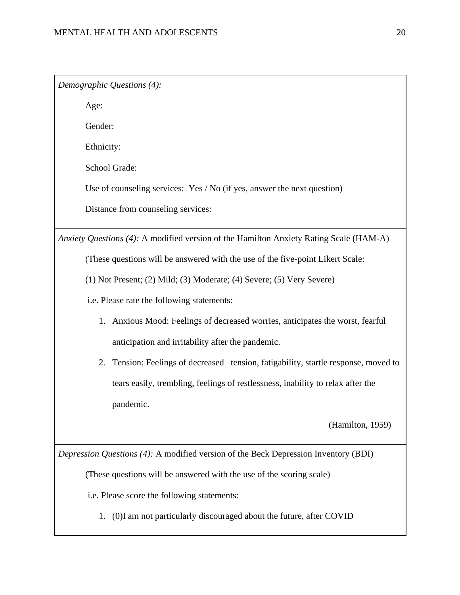*Demographic Questions (4):*

Age:

Gender:

Ethnicity:

School Grade:

Use of counseling services: Yes / No (if yes, answer the next question)

Distance from counseling services:

*Anxiety Questions (4):* A modified version of the Hamilton Anxiety Rating Scale (HAM-A)

(These questions will be answered with the use of the five-point Likert Scale:

(1) Not Present; (2) Mild; (3) Moderate; (4) Severe; (5) Very Severe)

- i.e. Please rate the following statements:
	- 1. Anxious Mood: Feelings of decreased worries, anticipates the worst, fearful anticipation and irritability after the pandemic.
	- 2. Tension: Feelings of decreased tension, fatigability, startle response, moved to tears easily, trembling, feelings of restlessness, inability to relax after the pandemic.

(Hamilton, 1959)

*Depression Questions (4):* A modified version of the Beck Depression Inventory (BDI)

(These questions will be answered with the use of the scoring scale)

i.e. Please score the following statements:

1. (0)I am not particularly discouraged about the future, after COVID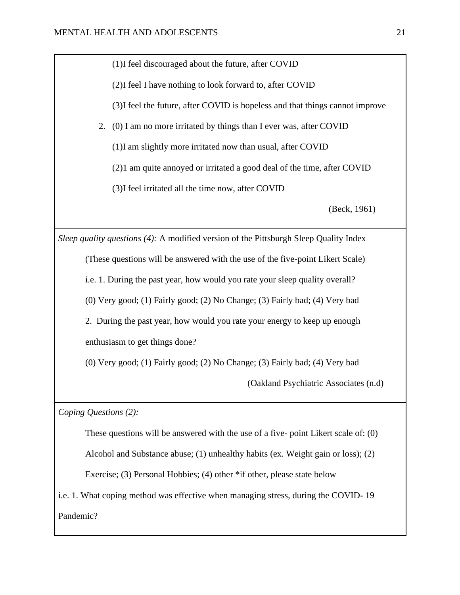(1)I feel discouraged about the future, after COVID

(2)I feel I have nothing to look forward to, after COVID

(3)I feel the future, after COVID is hopeless and that things cannot improve

2. (0) I am no more irritated by things than I ever was, after COVID

(1)I am slightly more irritated now than usual, after COVID

(2)1 am quite annoyed or irritated a good deal of the time, after COVID

(3)I feel irritated all the time now, after COVID

(Beck, 1961)

*Sleep quality questions (4):* A modified version of the Pittsburgh Sleep Quality Index

(These questions will be answered with the use of the five-point Likert Scale)

i.e. 1. During the past year, how would you rate your sleep quality overall?

(0) Very good; (1) Fairly good; (2) No Change; (3) Fairly bad; (4) Very bad

2. During the past year, how would you rate your energy to keep up enough enthusiasm to get things done?

(0) Very good; (1) Fairly good; (2) No Change; (3) Fairly bad; (4) Very bad

(Oakland Psychiatric Associates (n.d)

*Coping Questions (2):*

These questions will be answered with the use of a five- point Likert scale of: (0)

Alcohol and Substance abuse; (1) unhealthy habits (ex. Weight gain or loss); (2)

Exercise; (3) Personal Hobbies; (4) other \*if other, please state below

i.e. 1. What coping method was effective when managing stress, during the COVID- 19 Pandemic?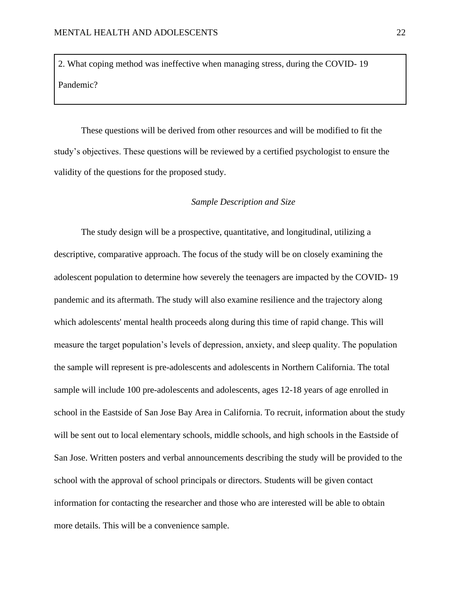2. What coping method was ineffective when managing stress, during the COVID- 19 Pandemic?

These questions will be derived from other resources and will be modified to fit the study's objectives. These questions will be reviewed by a certified psychologist to ensure the validity of the questions for the proposed study.

#### *Sample Description and Size*

The study design will be a prospective, quantitative, and longitudinal, utilizing a descriptive, comparative approach. The focus of the study will be on closely examining the adolescent population to determine how severely the teenagers are impacted by the COVID- 19 pandemic and its aftermath. The study will also examine resilience and the trajectory along which adolescents' mental health proceeds along during this time of rapid change. This will measure the target population's levels of depression, anxiety, and sleep quality. The population the sample will represent is pre-adolescents and adolescents in Northern California. The total sample will include 100 pre-adolescents and adolescents, ages 12-18 years of age enrolled in school in the Eastside of San Jose Bay Area in California. To recruit, information about the study will be sent out to local elementary schools, middle schools, and high schools in the Eastside of San Jose. Written posters and verbal announcements describing the study will be provided to the school with the approval of school principals or directors. Students will be given contact information for contacting the researcher and those who are interested will be able to obtain more details. This will be a convenience sample.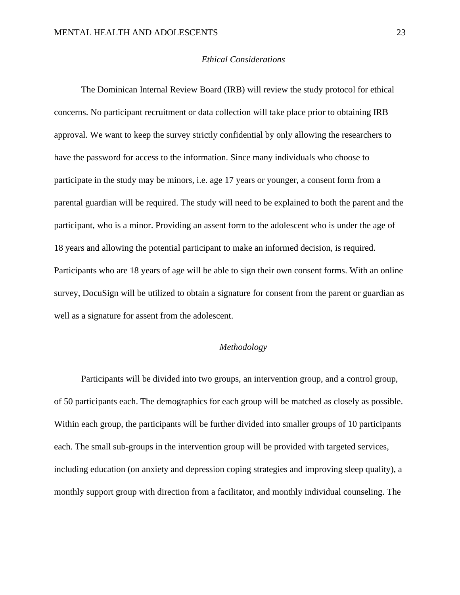#### *Ethical Considerations*

The Dominican Internal Review Board (IRB) will review the study protocol for ethical concerns. No participant recruitment or data collection will take place prior to obtaining IRB approval. We want to keep the survey strictly confidential by only allowing the researchers to have the password for access to the information. Since many individuals who choose to participate in the study may be minors, i.e. age 17 years or younger, a consent form from a parental guardian will be required. The study will need to be explained to both the parent and the participant, who is a minor. Providing an assent form to the adolescent who is under the age of 18 years and allowing the potential participant to make an informed decision, is required. Participants who are 18 years of age will be able to sign their own consent forms. With an online survey, DocuSign will be utilized to obtain a signature for consent from the parent or guardian as well as a signature for assent from the adolescent.

#### *Methodology*

Participants will be divided into two groups, an intervention group, and a control group, of 50 participants each. The demographics for each group will be matched as closely as possible. Within each group, the participants will be further divided into smaller groups of 10 participants each. The small sub-groups in the intervention group will be provided with targeted services, including education (on anxiety and depression coping strategies and improving sleep quality), a monthly support group with direction from a facilitator, and monthly individual counseling. The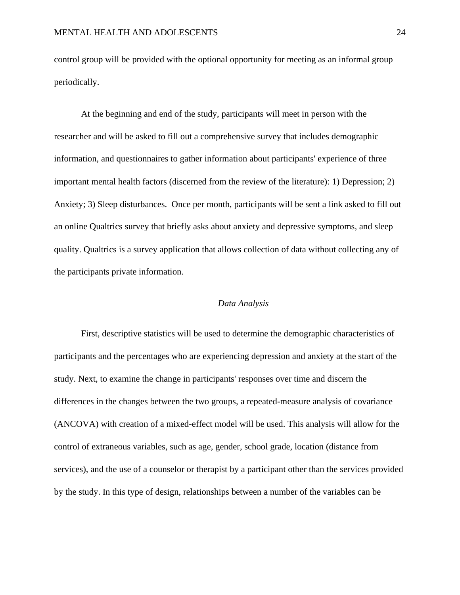control group will be provided with the optional opportunity for meeting as an informal group periodically.

At the beginning and end of the study, participants will meet in person with the researcher and will be asked to fill out a comprehensive survey that includes demographic information, and questionnaires to gather information about participants' experience of three important mental health factors (discerned from the review of the literature): 1) Depression; 2) Anxiety; 3) Sleep disturbances. Once per month, participants will be sent a link asked to fill out an online Qualtrics survey that briefly asks about anxiety and depressive symptoms, and sleep quality. Qualtrics is a survey application that allows collection of data without collecting any of the participants private information.

#### *Data Analysis*

First, descriptive statistics will be used to determine the demographic characteristics of participants and the percentages who are experiencing depression and anxiety at the start of the study. Next, to examine the change in participants' responses over time and discern the differences in the changes between the two groups, a repeated-measure analysis of covariance (ANCOVA) with creation of a mixed-effect model will be used. This analysis will allow for the control of extraneous variables, such as age, gender, school grade, location (distance from services), and the use of a counselor or therapist by a participant other than the services provided by the study. In this type of design, relationships between a number of the variables can be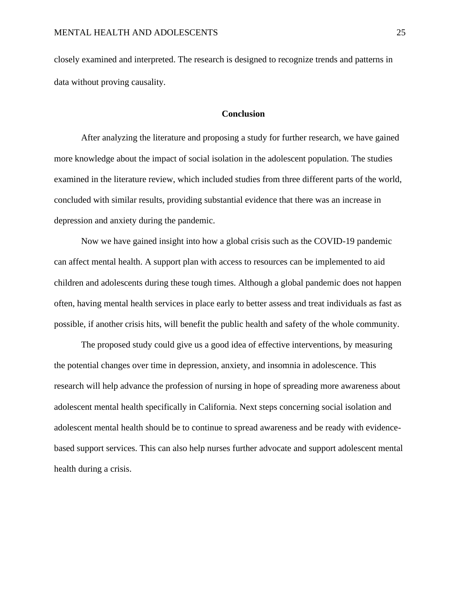closely examined and interpreted. The research is designed to recognize trends and patterns in data without proving causality.

#### **Conclusion**

After analyzing the literature and proposing a study for further research, we have gained more knowledge about the impact of social isolation in the adolescent population. The studies examined in the literature review, which included studies from three different parts of the world, concluded with similar results, providing substantial evidence that there was an increase in depression and anxiety during the pandemic.

Now we have gained insight into how a global crisis such as the COVID-19 pandemic can affect mental health. A support plan with access to resources can be implemented to aid children and adolescents during these tough times. Although a global pandemic does not happen often, having mental health services in place early to better assess and treat individuals as fast as possible, if another crisis hits, will benefit the public health and safety of the whole community.

The proposed study could give us a good idea of effective interventions, by measuring the potential changes over time in depression, anxiety, and insomnia in adolescence. This research will help advance the profession of nursing in hope of spreading more awareness about adolescent mental health specifically in California. Next steps concerning social isolation and adolescent mental health should be to continue to spread awareness and be ready with evidencebased support services. This can also help nurses further advocate and support adolescent mental health during a crisis.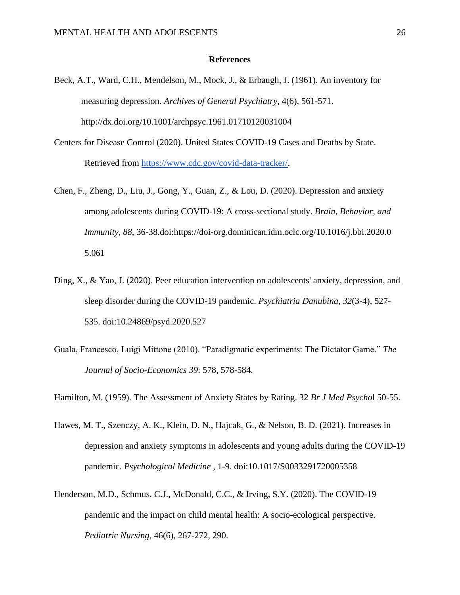#### **References**

- Beck, A.T., Ward, C.H., Mendelson, M., Mock, J., & Erbaugh, J. (1961). An inventory for measuring depression. *Archives of General Psychiatry,* 4(6), 561-571. http://dx.doi.org/10.1001/archpsyc.1961.01710120031004
- Centers for Disease Control (2020). United States COVID-19 Cases and Deaths by State. Retrieved from [https://www.cdc.gov/covid-data-tracker/.](https://www.cdc.gov/covid-data-tracker/)
- Chen, F., Zheng, D., Liu, J., Gong, Y., Guan, Z., & Lou, D. (2020). Depression and anxiety among adolescents during COVID-19: A cross-sectional study. *Brain, Behavior, and Immunity, 88*, 36-38.doi:https://doi-org.dominican.idm.oclc.org/10.1016/j.bbi.2020.0 5.061
- Ding, X., & Yao, J. (2020). Peer education intervention on adolescents' anxiety, depression, and sleep disorder during the COVID-19 pandemic. *Psychiatria Danubina, 32*(3-4), 527- 535. doi:10.24869/psyd.2020.527
- Guala, Francesco, Luigi Mittone (2010). "Paradigmatic experiments: The Dictator Game." *The Journal of Socio-Economics 39*: 578, 578-584.

Hamilton, M. (1959). The Assessment of Anxiety States by Rating. 32 *Br J Med Psycho*l 50-55.

- Hawes, M. T., Szenczy, A. K., Klein, D. N., Hajcak, G., & Nelson, B. D. (2021). Increases in depression and anxiety symptoms in adolescents and young adults during the COVID-19 pandemic. *Psychological Medicine* , 1-9. doi:10.1017/S0033291720005358
- Henderson, M.D., Schmus, C.J., McDonald, C.C., & Irving, S.Y. (2020). The COVID-19 pandemic and the impact on child mental health: A socio-ecological perspective. *Pediatric Nursing*, 46(6), 267-272, 290.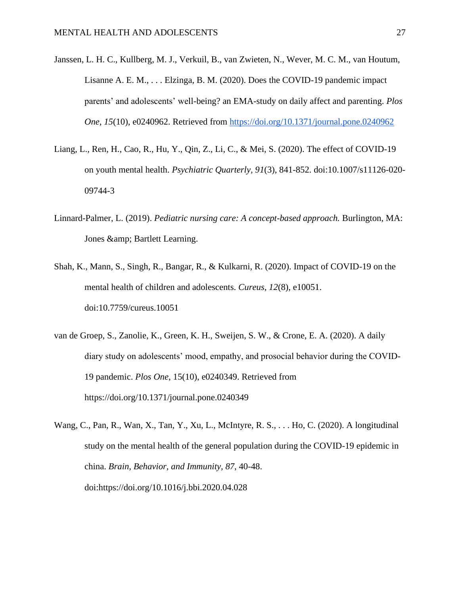- Janssen, L. H. C., Kullberg, M. J., Verkuil, B., van Zwieten, N., Wever, M. C. M., van Houtum, Lisanne A. E. M., . . . Elzinga, B. M. (2020). Does the COVID-19 pandemic impact parents' and adolescents' well-being? an EMA-study on daily affect and parenting. *Plos One, 15*(10), e0240962. Retrieved from<https://doi.org/10.1371/journal.pone.0240962>
- Liang, L., Ren, H., Cao, R., Hu, Y., Qin, Z., Li, C., & Mei, S. (2020). The effect of COVID-19 on youth mental health. *Psychiatric Quarterly, 91*(3), 841-852. doi:10.1007/s11126-020- 09744-3
- Linnard-Palmer, L. (2019). *Pediatric nursing care: A concept-based approach.* Burlington, MA: Jones & amp; Bartlett Learning.
- Shah, K., Mann, S., Singh, R., Bangar, R., & Kulkarni, R. (2020). Impact of COVID-19 on the mental health of children and adolescents. *Cureus, 12*(8), e10051. doi:10.7759/cureus.10051
- van de Groep, S., Zanolie, K., Green, K. H., Sweijen, S. W., & Crone, E. A. (2020). A daily diary study on adolescents' mood, empathy, and prosocial behavior during the COVID-19 pandemic. *Plos One*, 15(10), e0240349. Retrieved from <https://doi.org/10.1371/journal.pone.0240349>
- Wang, C., Pan, R., Wan, X., Tan, Y., Xu, L., McIntyre, R. S., . . . Ho, C. (2020). A longitudinal study on the mental health of the general population during the COVID-19 epidemic in china. *Brain, Behavior, and Immunity, 87*, 40-48. doi:https://doi.org/10.1016/j.bbi.2020.04.028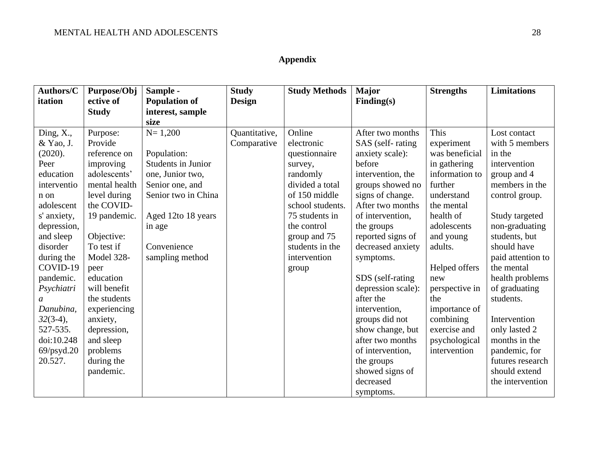## **Appendix**

| Authors/C           | Purpose/Obj   | Sample -             | <b>Study</b>  | <b>Study Methods</b> | <b>Major</b>       | <b>Strengths</b> | <b>Limitations</b> |
|---------------------|---------------|----------------------|---------------|----------------------|--------------------|------------------|--------------------|
| itation             | ective of     | <b>Population of</b> | <b>Design</b> |                      | Finding(s)         |                  |                    |
|                     | <b>Study</b>  | interest, sample     |               |                      |                    |                  |                    |
|                     |               | size                 |               |                      |                    |                  |                    |
| Ding, $X_{\cdot}$ , | Purpose:      | $N = 1,200$          | Quantitative, | Online               | After two months   | This             | Lost contact       |
| & Yao, J.           | Provide       |                      | Comparative   | electronic           | SAS (self-rating   | experiment       | with 5 members     |
| (2020).             | reference on  | Population:          |               | questionnaire        | anxiety scale):    | was beneficial   | in the             |
| Peer                | improving     | Students in Junior   |               | survey,              | before             | in gathering     | intervention       |
| education           | adolescents'  | one, Junior two,     |               | randomly             | intervention, the  | information to   | group and 4        |
| interventio         | mental health | Senior one, and      |               | divided a total      | groups showed no   | further          | members in the     |
| n on                | level during  | Senior two in China  |               | of 150 middle        | signs of change.   | understand       | control group.     |
| adolescent          | the COVID-    |                      |               | school students.     | After two months   | the mental       |                    |
| s' anxiety,         | 19 pandemic.  | Aged 12to 18 years   |               | 75 students in       | of intervention,   | health of        | Study targeted     |
| depression,         |               | in age               |               | the control          | the groups         | adolescents      | non-graduating     |
| and sleep           | Objective:    |                      |               | group and 75         | reported signs of  | and young        | students, but      |
| disorder            | To test if    | Convenience          |               | students in the      | decreased anxiety  | adults.          | should have        |
| during the          | Model 328-    | sampling method      |               | intervention         | symptoms.          |                  | paid attention to  |
| COVID-19            | peer          |                      |               | group                |                    | Helped offers    | the mental         |
| pandemic.           | education     |                      |               |                      | SDS (self-rating   | new              | health problems    |
| Psychiatri          | will benefit  |                      |               |                      | depression scale): | perspective in   | of graduating      |
| a                   | the students  |                      |               |                      | after the          | the              | students.          |
| Danubina,           | experiencing  |                      |               |                      | intervention,      | importance of    |                    |
| $32(3-4)$ ,         | anxiety,      |                      |               |                      | groups did not     | combining        | Intervention       |
| 527-535.            | depression,   |                      |               |                      | show change, but   | exercise and     | only lasted 2      |
| doi:10.248          | and sleep     |                      |               |                      | after two months   | psychological    | months in the      |
| $69$ /psyd.20       | problems      |                      |               |                      | of intervention,   | intervention     | pandemic, for      |
| 20.527.             | during the    |                      |               |                      | the groups         |                  | futures research   |
|                     | pandemic.     |                      |               |                      | showed signs of    |                  | should extend      |
|                     |               |                      |               |                      | decreased          |                  | the intervention   |
|                     |               |                      |               |                      | symptoms.          |                  |                    |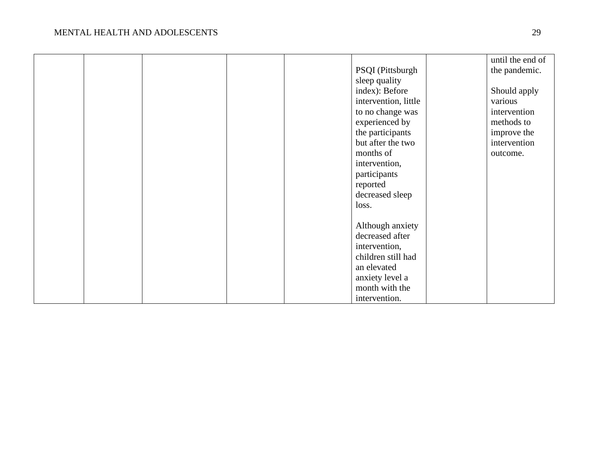|  |  |                      | until the end of |
|--|--|----------------------|------------------|
|  |  | PSQI (Pittsburgh     | the pandemic.    |
|  |  | sleep quality        |                  |
|  |  | index): Before       | Should apply     |
|  |  | intervention, little | various          |
|  |  | to no change was     | intervention     |
|  |  | experienced by       | methods to       |
|  |  | the participants     | improve the      |
|  |  | but after the two    | intervention     |
|  |  | months of            | outcome.         |
|  |  | intervention,        |                  |
|  |  | participants         |                  |
|  |  | reported             |                  |
|  |  | decreased sleep      |                  |
|  |  | loss.                |                  |
|  |  |                      |                  |
|  |  | Although anxiety     |                  |
|  |  | decreased after      |                  |
|  |  | intervention,        |                  |
|  |  | children still had   |                  |
|  |  | an elevated          |                  |
|  |  | anxiety level a      |                  |
|  |  | month with the       |                  |
|  |  | intervention.        |                  |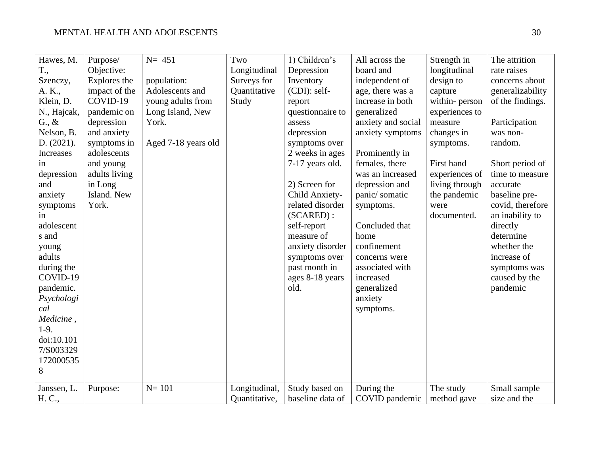| Hawes, M.       | Purpose/      | $N = 451$           | Two           | 1) Children's    | All across the     | Strength in    | The attrition    |
|-----------------|---------------|---------------------|---------------|------------------|--------------------|----------------|------------------|
| T.,             | Objective:    |                     | Longitudinal  | Depression       | board and          | longitudinal   | rate raises      |
| Szenczy,        | Explores the  | population:         | Surveys for   | Inventory        | independent of     | design to      | concerns about   |
| A. K.,          | impact of the | Adolescents and     | Quantitative  | (CDI): self-     | age, there was a   | capture        | generalizability |
| Klein, D.       | COVID-19      | young adults from   | Study         | report           | increase in both   | within-person  | of the findings. |
| N., Hajcak,     | pandemic on   | Long Island, New    |               | questionnaire to | generalized        | experiences to |                  |
| $G_{\cdot}, \&$ | depression    | York.               |               | assess           | anxiety and social | measure        | Participation    |
| Nelson, B.      | and anxiety   |                     |               | depression       | anxiety symptoms   | changes in     | was non-         |
| D. (2021).      | symptoms in   | Aged 7-18 years old |               | symptoms over    |                    | symptoms.      | random.          |
| Increases       | adolescents   |                     |               | 2 weeks in ages  | Prominently in     |                |                  |
| in              | and young     |                     |               | 7-17 years old.  | females, there     | First hand     | Short period of  |
| depression      | adults living |                     |               |                  | was an increased   | experiences of | time to measure  |
| and             | in Long       |                     |               | 2) Screen for    | depression and     | living through | accurate         |
| anxiety         | Island. New   |                     |               | Child Anxiety-   | panic/somatic      | the pandemic   | baseline pre-    |
| symptoms        | York.         |                     |               | related disorder | symptoms.          | were           | covid, therefore |
| in              |               |                     |               | (SCAREN):        |                    | documented.    | an inability to  |
| adolescent      |               |                     |               | self-report      | Concluded that     |                | directly         |
| s and           |               |                     |               | measure of       | home               |                | determine        |
| young           |               |                     |               | anxiety disorder | confinement        |                | whether the      |
| adults          |               |                     |               | symptoms over    | concerns were      |                | increase of      |
| during the      |               |                     |               | past month in    | associated with    |                | symptoms was     |
| COVID-19        |               |                     |               | ages 8-18 years  | increased          |                | caused by the    |
| pandemic.       |               |                     |               | old.             | generalized        |                | pandemic         |
| Psychologi      |               |                     |               |                  | anxiety            |                |                  |
| cal             |               |                     |               |                  | symptoms.          |                |                  |
| Medicine,       |               |                     |               |                  |                    |                |                  |
| $1-9.$          |               |                     |               |                  |                    |                |                  |
| doi:10.101      |               |                     |               |                  |                    |                |                  |
| 7/S003329       |               |                     |               |                  |                    |                |                  |
| 172000535       |               |                     |               |                  |                    |                |                  |
| 8               |               |                     |               |                  |                    |                |                  |
| Janssen, L.     | Purpose:      | $N = 101$           | Longitudinal, | Study based on   | During the         | The study      | Small sample     |
| H. C.,          |               |                     | Quantitative, | baseline data of | COVID pandemic     | method gave    | size and the     |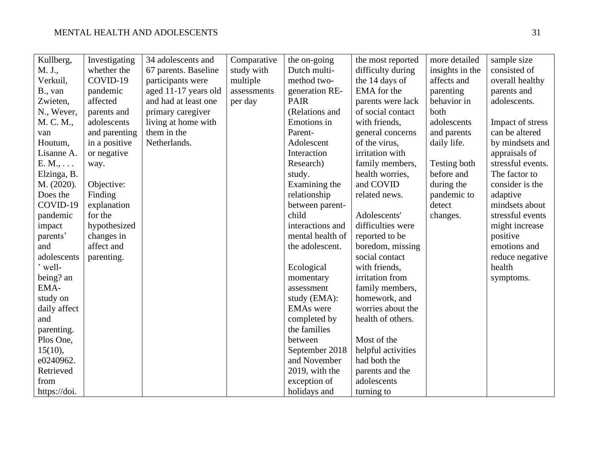| Kullberg,       | Investigating | 34 adolescents and   | Comparative | the on-going     | the most reported  | more detailed   | sample size       |
|-----------------|---------------|----------------------|-------------|------------------|--------------------|-----------------|-------------------|
| M. J.,          | whether the   | 67 parents. Baseline | study with  | Dutch multi-     | difficulty during  | insights in the | consisted of      |
| Verkuil,        | COVID-19      | participants were    | multiple    | method two-      | the 14 days of     | affects and     | overall healthy   |
| B., van         | pandemic      | aged 11-17 years old | assessments | generation RE-   | EMA for the        | parenting       | parents and       |
| Zwieten,        | affected      | and had at least one | per day     | <b>PAIR</b>      | parents were lack  | behavior in     | adolescents.      |
| N., Wever,      | parents and   | primary caregiver    |             | (Relations and   | of social contact  | both            |                   |
| M. C. M.,       | adolescents   | living at home with  |             | Emotions in      | with friends,      | adolescents     | Impact of stress  |
| van             | and parenting | them in the          |             | Parent-          | general concerns   | and parents     | can be altered    |
| Houtum,         | in a positive | Netherlands.         |             | Adolescent       | of the virus,      | daily life.     | by mindsets and   |
| Lisanne A.      | or negative   |                      |             | Interaction      | irritation with    |                 | appraisals of     |
| $E. M., \ldots$ | way.          |                      |             | Research)        | family members,    | Testing both    | stressful events. |
| Elzinga, B.     |               |                      |             | study.           | health worries,    | before and      | The factor to     |
| M. (2020).      | Objective:    |                      |             | Examining the    | and COVID          | during the      | consider is the   |
| Does the        | Finding       |                      |             | relationship     | related news.      | pandemic to     | adaptive          |
| COVID-19        | explanation   |                      |             | between parent-  |                    | detect          | mindsets about    |
| pandemic        | for the       |                      |             | child            | Adolescents'       | changes.        | stressful events  |
| impact          | hypothesized  |                      |             | interactions and | difficulties were  |                 | might increase    |
| parents'        | changes in    |                      |             | mental health of | reported to be     |                 | positive          |
| and             | affect and    |                      |             | the adolescent.  | boredom, missing   |                 | emotions and      |
| adolescents     | parenting.    |                      |             |                  | social contact     |                 | reduce negative   |
| ' well-         |               |                      |             | Ecological       | with friends,      |                 | health            |
| being? an       |               |                      |             | momentary        | irritation from    |                 | symptoms.         |
| EMA-            |               |                      |             | assessment       | family members,    |                 |                   |
| study on        |               |                      |             | study (EMA):     | homework, and      |                 |                   |
| daily affect    |               |                      |             | <b>EMAs</b> were | worries about the  |                 |                   |
| and             |               |                      |             | completed by     | health of others.  |                 |                   |
| parenting.      |               |                      |             | the families     |                    |                 |                   |
| Plos One,       |               |                      |             | between          | Most of the        |                 |                   |
| 15(10),         |               |                      |             | September 2018   | helpful activities |                 |                   |
| e0240962.       |               |                      |             | and November     | had both the       |                 |                   |
| Retrieved       |               |                      |             | 2019, with the   | parents and the    |                 |                   |
| from            |               |                      |             | exception of     | adolescents        |                 |                   |
| https://doi.    |               |                      |             | holidays and     | turning to         |                 |                   |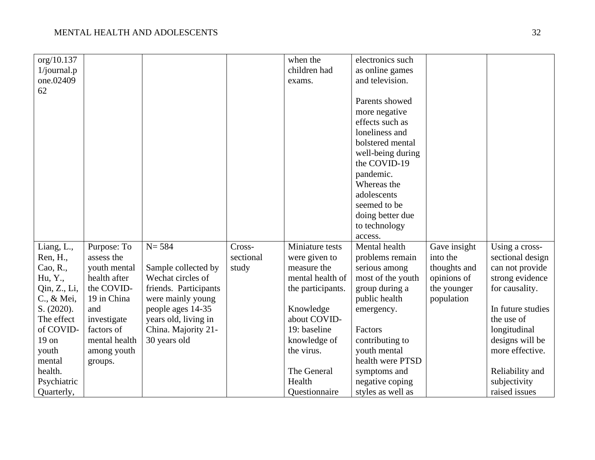| org/10.137     |               |                       |           | when the          | electronics such  |              |                   |
|----------------|---------------|-----------------------|-----------|-------------------|-------------------|--------------|-------------------|
| $1$ /journal.p |               |                       |           | children had      | as online games   |              |                   |
| one.02409      |               |                       |           | exams.            | and television.   |              |                   |
| 62             |               |                       |           |                   |                   |              |                   |
|                |               |                       |           |                   | Parents showed    |              |                   |
|                |               |                       |           |                   | more negative     |              |                   |
|                |               |                       |           |                   | effects such as   |              |                   |
|                |               |                       |           |                   | loneliness and    |              |                   |
|                |               |                       |           |                   | bolstered mental  |              |                   |
|                |               |                       |           |                   | well-being during |              |                   |
|                |               |                       |           |                   | the COVID-19      |              |                   |
|                |               |                       |           |                   | pandemic.         |              |                   |
|                |               |                       |           |                   | Whereas the       |              |                   |
|                |               |                       |           |                   | adolescents       |              |                   |
|                |               |                       |           |                   | seemed to be      |              |                   |
|                |               |                       |           |                   | doing better due  |              |                   |
|                |               |                       |           |                   | to technology     |              |                   |
|                |               |                       |           |                   | access.           |              |                   |
| Liang, L.,     | Purpose: To   | $N = 584$             | Cross-    | Miniature tests   | Mental health     | Gave insight | Using a cross-    |
| Ren, H.,       | assess the    |                       | sectional | were given to     | problems remain   | into the     | sectional design  |
| Cao, R.,       | youth mental  | Sample collected by   | study     | measure the       | serious among     | thoughts and | can not provide   |
| Hu, Y.,        | health after  | Wechat circles of     |           | mental health of  | most of the youth | opinions of  | strong evidence   |
| Qin, Z., Li,   | the COVID-    | friends. Participants |           | the participants. | group during a    | the younger  | for causality.    |
| C., & Mei,     | 19 in China   | were mainly young     |           |                   | public health     | population   |                   |
| S. (2020).     | and           | people ages 14-35     |           | Knowledge         | emergency.        |              | In future studies |
| The effect     | investigate   | years old, living in  |           | about COVID-      |                   |              | the use of        |
| of COVID-      | factors of    | China. Majority 21-   |           | 19: baseline      | Factors           |              | longitudinal      |
| $19$ on        | mental health | 30 years old          |           | knowledge of      | contributing to   |              | designs will be   |
| youth          | among youth   |                       |           | the virus.        | youth mental      |              | more effective.   |
| mental         | groups.       |                       |           |                   | health were PTSD  |              |                   |
| health.        |               |                       |           | The General       | symptoms and      |              | Reliability and   |
| Psychiatric    |               |                       |           | Health            | negative coping   |              | subjectivity      |
| Quarterly,     |               |                       |           | Questionnaire     | styles as well as |              | raised issues     |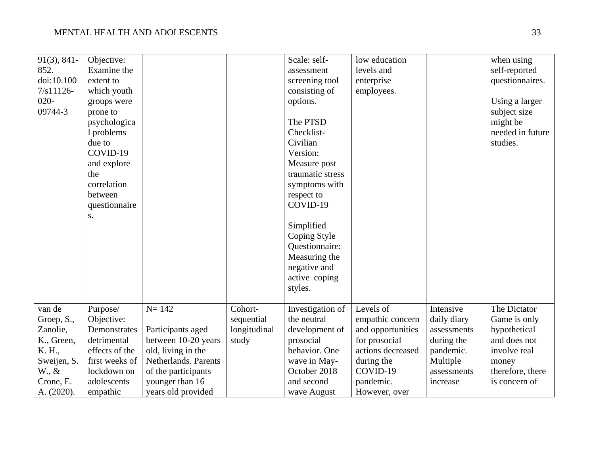| $91(3), 841-$   | Objective:     |                      |              | Scale: self-     | low education     |             | when using       |
|-----------------|----------------|----------------------|--------------|------------------|-------------------|-------------|------------------|
| 852.            | Examine the    |                      |              | assessment       | levels and        |             | self-reported    |
| doi:10.100      | extent to      |                      |              | screening tool   | enterprise        |             | questionnaires.  |
| $7/s11126 -$    | which youth    |                      |              | consisting of    | employees.        |             |                  |
| $020 -$         | groups were    |                      |              | options.         |                   |             | Using a larger   |
| 09744-3         | prone to       |                      |              |                  |                   |             | subject size     |
|                 | psychologica   |                      |              | The PTSD         |                   |             | might be         |
|                 | 1 problems     |                      |              | Checklist-       |                   |             | needed in future |
|                 | due to         |                      |              | Civilian         |                   |             | studies.         |
|                 | COVID-19       |                      |              | Version:         |                   |             |                  |
|                 | and explore    |                      |              | Measure post     |                   |             |                  |
|                 | the            |                      |              | traumatic stress |                   |             |                  |
|                 | correlation    |                      |              | symptoms with    |                   |             |                  |
|                 | between        |                      |              | respect to       |                   |             |                  |
|                 | questionnaire  |                      |              | COVID-19         |                   |             |                  |
|                 | S.             |                      |              |                  |                   |             |                  |
|                 |                |                      |              | Simplified       |                   |             |                  |
|                 |                |                      |              | Coping Style     |                   |             |                  |
|                 |                |                      |              | Questionnaire:   |                   |             |                  |
|                 |                |                      |              | Measuring the    |                   |             |                  |
|                 |                |                      |              | negative and     |                   |             |                  |
|                 |                |                      |              | active coping    |                   |             |                  |
|                 |                |                      |              | styles.          |                   |             |                  |
|                 |                |                      |              |                  |                   |             |                  |
| van de          | Purpose/       | $N = 142$            | Cohort-      | Investigation of | Levels of         | Intensive   | The Dictator     |
| Groep, S.,      | Objective:     |                      | sequential   | the neutral      | empathic concern  | daily diary | Game is only     |
| Zanolie,        | Demonstrates   | Participants aged    | longitudinal | development of   | and opportunities | assessments | hypothetical     |
| K., Green,      | detrimental    | between 10-20 years  | study        | prosocial        | for prosocial     | during the  | and does not     |
| K. H.,          | effects of the | old, living in the   |              | behavior. One    | actions decreased | pandemic.   | involve real     |
| Sweijen, S.     | first weeks of | Netherlands. Parents |              | wave in May-     | during the        | Multiple    | money            |
| $W_{\cdot}, \&$ | lockdown on    | of the participants  |              | October 2018     | COVID-19          | assessments | therefore, there |
| Crone, E.       | adolescents    | younger than 16      |              | and second       | pandemic.         | increase    | is concern of    |
| A. (2020).      | empathic       | years old provided   |              | wave August      | However, over     |             |                  |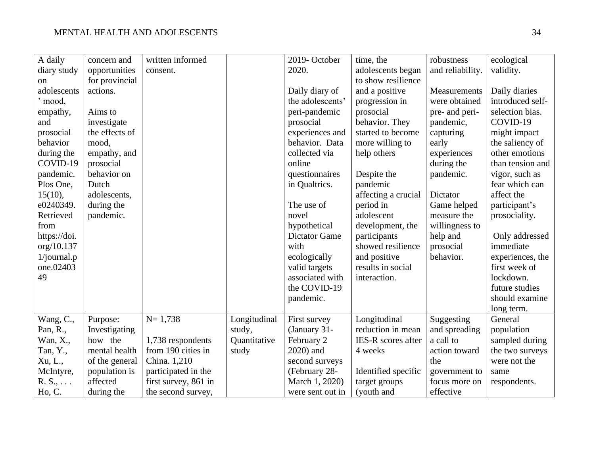| A daily         | concern and    | written informed     |              | 2019-October         | time, the           | robustness       | ecological       |
|-----------------|----------------|----------------------|--------------|----------------------|---------------------|------------------|------------------|
| diary study     | opportunities  | consent.             |              | 2020.                | adolescents began   | and reliability. | validity.        |
| on              | for provincial |                      |              |                      | to show resilience  |                  |                  |
| adolescents     | actions.       |                      |              | Daily diary of       | and a positive      | Measurements     | Daily diaries    |
| ' mood,         |                |                      |              | the adolescents'     | progression in      | were obtained    | introduced self- |
| empathy,        | Aims to        |                      |              | peri-pandemic        | prosocial           | pre- and peri-   | selection bias.  |
| and             | investigate    |                      |              | prosocial            | behavior. They      | pandemic,        | COVID-19         |
| prosocial       | the effects of |                      |              | experiences and      | started to become   | capturing        | might impact     |
| behavior        | mood,          |                      |              | behavior. Data       | more willing to     | early            | the saliency of  |
| during the      | empathy, and   |                      |              | collected via        | help others         | experiences      | other emotions   |
| COVID-19        | prosocial      |                      |              | online               |                     | during the       | than tension and |
| pandemic.       | behavior on    |                      |              | questionnaires       | Despite the         | pandemic.        | vigor, such as   |
| Plos One,       | Dutch          |                      |              | in Qualtrics.        | pandemic            |                  | fear which can   |
| 15(10),         | adolescents,   |                      |              |                      | affecting a crucial | Dictator         | affect the       |
| e0240349.       | during the     |                      |              | The use of           | period in           | Game helped      | participant's    |
| Retrieved       | pandemic.      |                      |              | novel                | adolescent          | measure the      | prosociality.    |
| from            |                |                      |              | hypothetical         | development, the    | willingness to   |                  |
| https://doi.    |                |                      |              | <b>Dictator Game</b> | participants        | help and         | Only addressed   |
| org/10.137      |                |                      |              | with                 | showed resilience   | prosocial        | immediate        |
| $1$ /journal.p  |                |                      |              | ecologically         | and positive        | behavior.        | experiences, the |
| one.02403       |                |                      |              | valid targets        | results in social   |                  | first week of    |
| 49              |                |                      |              | associated with      | interaction.        |                  | lockdown.        |
|                 |                |                      |              | the COVID-19         |                     |                  | future studies   |
|                 |                |                      |              | pandemic.            |                     |                  | should examine   |
|                 |                |                      |              |                      |                     |                  | long term.       |
| Wang, C.,       | Purpose:       | $N = 1,738$          | Longitudinal | First survey         | Longitudinal        | Suggesting       | General          |
| Pan, R.,        | Investigating  |                      | study,       | (January 31-         | reduction in mean   | and spreading    | population       |
| Wan, X.,        | how the        | 1,738 respondents    | Quantitative | February 2           | IES-R scores after  | a call to        | sampled during   |
| Tan, Y.,        | mental health  | from 190 cities in   | study        | 2020) and            | 4 weeks             | action toward    | the two surveys  |
| Xu, L.,         | of the general | China. 1,210         |              | second surveys       |                     | the              | were not the     |
| McIntyre,       | population is  | participated in the  |              | (February 28-        | Identified specific | government to    | same             |
| $R. S., \ldots$ | affected       | first survey, 861 in |              | March 1, 2020)       | target groups       | focus more on    | respondents.     |
| Ho, C.          | during the     | the second survey,   |              | were sent out in     | (youth and          | effective        |                  |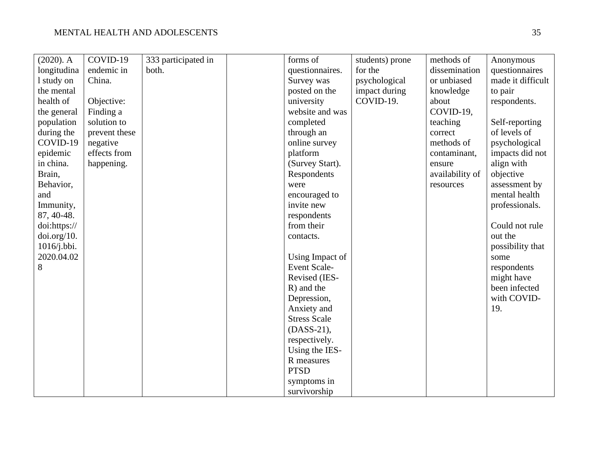| $(2020)$ . A | COVID-19      | 333 participated in | forms of            | students) prone | methods of      | Anonymous         |
|--------------|---------------|---------------------|---------------------|-----------------|-----------------|-------------------|
| longitudina  | endemic in    | both.               | questionnaires.     | for the         | dissemination   | questionnaires    |
| 1 study on   | China.        |                     | Survey was          | psychological   | or unbiased     | made it difficult |
| the mental   |               |                     | posted on the       | impact during   | knowledge       | to pair           |
| health of    | Objective:    |                     | university          | COVID-19.       | about           | respondents.      |
| the general  | Finding a     |                     | website and was     |                 | COVID-19,       |                   |
| population   | solution to   |                     | completed           |                 | teaching        | Self-reporting    |
| during the   | prevent these |                     | through an          |                 | correct         | of levels of      |
| COVID-19     | negative      |                     | online survey       |                 | methods of      | psychological     |
| epidemic     | effects from  |                     | platform            |                 | contaminant,    | impacts did not   |
| in china.    | happening.    |                     | (Survey Start).     |                 | ensure          | align with        |
| Brain,       |               |                     | Respondents         |                 | availability of | objective         |
| Behavior,    |               |                     | were                |                 | resources       | assessment by     |
| and          |               |                     | encouraged to       |                 |                 | mental health     |
| Immunity,    |               |                     | invite new          |                 |                 | professionals.    |
| 87, 40-48.   |               |                     | respondents         |                 |                 |                   |
| doi:https:// |               |                     | from their          |                 |                 | Could not rule    |
| doi.org/10.  |               |                     | contacts.           |                 |                 | out the           |
| 1016/j.bbi.  |               |                     |                     |                 |                 | possibility that  |
| 2020.04.02   |               |                     | Using Impact of     |                 |                 | some              |
| 8            |               |                     | Event Scale-        |                 |                 | respondents       |
|              |               |                     | Revised (IES-       |                 |                 | might have        |
|              |               |                     | R) and the          |                 |                 | been infected     |
|              |               |                     | Depression,         |                 |                 | with COVID-       |
|              |               |                     | Anxiety and         |                 |                 | 19.               |
|              |               |                     | <b>Stress Scale</b> |                 |                 |                   |
|              |               |                     | (DASS-21),          |                 |                 |                   |
|              |               |                     | respectively.       |                 |                 |                   |
|              |               |                     | Using the IES-      |                 |                 |                   |
|              |               |                     | R measures          |                 |                 |                   |
|              |               |                     | <b>PTSD</b>         |                 |                 |                   |
|              |               |                     | symptoms in         |                 |                 |                   |
|              |               |                     | survivorship        |                 |                 |                   |